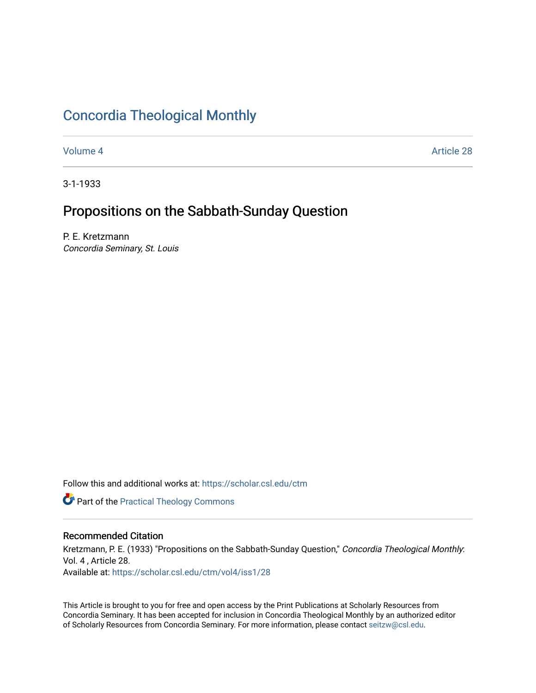# [Concordia Theological Monthly](https://scholar.csl.edu/ctm)

[Volume 4](https://scholar.csl.edu/ctm/vol4) [Article 28](https://scholar.csl.edu/ctm/vol4/iss1/28) 

3-1-1933

## Propositions on the Sabbath-Sunday Question

P. E. Kretzmann Concordia Seminary, St. Louis

Follow this and additional works at: [https://scholar.csl.edu/ctm](https://scholar.csl.edu/ctm?utm_source=scholar.csl.edu%2Fctm%2Fvol4%2Fiss1%2F28&utm_medium=PDF&utm_campaign=PDFCoverPages)

**Part of the [Practical Theology Commons](http://network.bepress.com/hgg/discipline/1186?utm_source=scholar.csl.edu%2Fctm%2Fvol4%2Fiss1%2F28&utm_medium=PDF&utm_campaign=PDFCoverPages)** 

### Recommended Citation

Kretzmann, P. E. (1933) "Propositions on the Sabbath-Sunday Question," Concordia Theological Monthly: Vol. 4 , Article 28. Available at: [https://scholar.csl.edu/ctm/vol4/iss1/28](https://scholar.csl.edu/ctm/vol4/iss1/28?utm_source=scholar.csl.edu%2Fctm%2Fvol4%2Fiss1%2F28&utm_medium=PDF&utm_campaign=PDFCoverPages)

This Article is brought to you for free and open access by the Print Publications at Scholarly Resources from Concordia Seminary. It has been accepted for inclusion in Concordia Theological Monthly by an authorized editor of Scholarly Resources from Concordia Seminary. For more information, please contact [seitzw@csl.edu](mailto:seitzw@csl.edu).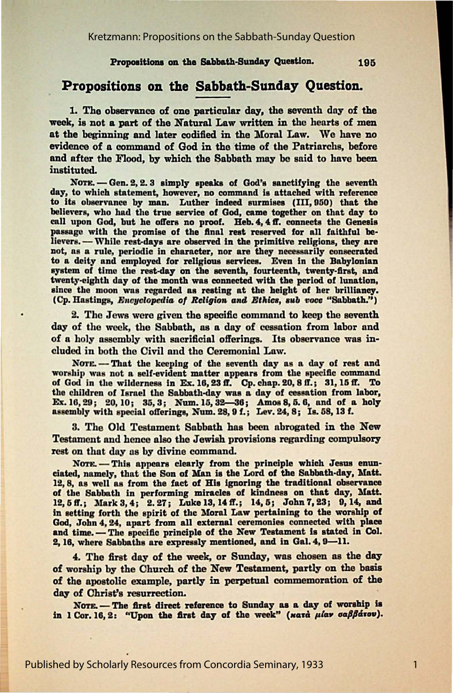#### Propositions on the Sabbath-Sunday Question.

## Propositions on the Sabbath-Sunday Question.

1. The observance of one particular day, the seventh day of the week, is not a part of the Natural Law written in the hearts of men at the beginning and later codified in the Moral Law. We have no evidence of a command of God in the time of the Patriarchs, before and after the Flood, by which the Sabbath may be said to have been instituted.

NOTE. - Gen. 2, 2.3 simply speaks of God's sanctifying the seventh day, to which statement, however, no command is attached with reference to its observance by man. Luther indeed surmises (III, 950) that the believers, who had the true service of God, came together on that day to call upon God, but he offers no proof. Heb. 4, 4 ff. connects the Genesis passage with the promise of the final rest reserved for all faithful believers. - While rest-days are observed in the primitive religions, they are not, as a rule, periodic in character, nor are they necessarily consecrated to a deity and employed for religious services. Even in the Babylonian system of time the rest-day on the seventh, fourteenth, twenty-first, and twenty-eighth day of the month was connected with the period of lunation, since the moon was regarded as resting at the height of her brilliancy. (Cp. Hastings, Encyclopedia of Religion and Ethics, sub voce "Sabbath.")

2. The Jews were given the specific command to keep the seventh day of the week, the Sabbath, as a day of cessation from labor and of a holy assembly with sacrificial offerings. Its observance was included in both the Civil and the Ceremonial Law.

NOTE. - That the keeping of the seventh day as a day of rest and worship was not a self-evident matter appears from the specific command of God in the wilderness in Ex. 16, 23 ff. Cp. chap. 20, 8 ff.; 31, 15 ff. To the children of Israel the Sabbath-day was a day of cessation from labor, Ex. 16, 29; 20, 10; 35, 3; Num. 15, 32-36; Amos 8, 5. 6, and of a holy assembly with special offerings, Num. 28, 9 f.; Lev. 24, 8; Is. 58, 13 f.

3. The Old Testament Sabbath has been abrogated in the New **Testament and hence also the Jewish provisions regarding compulsory** rest on that day as by divine command.

NOTE. - This appears clearly from the principle which Jesus enunciated, namely, that the Son of Man is the Lord of the Sabbath-day, Matt. 12, 8, as well as from the fact of His ignoring the traditional observance of the Sabbath in performing miracles of kindness on that day, Matt. 12, 5 ff.; Mark 3, 4; 2. 27; Luke 13, 14 ff.; 14, 5; John 7, 23; 9, 14, and in setting forth the spirit of the Moral Law pertaining to the worship of God, John 4, 24, apart from all external ceremonies connected with place and time. - The specific principle of the New Testament is stated in Col. 2, 16, where Sabbaths are expressly mentioned, and in Gal. 4, 9-11.

4. The first day of the week, or Sunday, was chosen as the day of worship by the Church of the New Testament, partly on the basis of the apostolic example, partly in perpetual commemoration of the day of Christ's resurrection.

NOTE. - The first direct reference to Sunday as a day of worship is in 1 Cor. 16, 2: "Upon the first day of the week" (xarà µiav σαββάτου).

Published by Scholarly Resources from Concordia Seminary, 1933

195

 $\mathbf{1}$